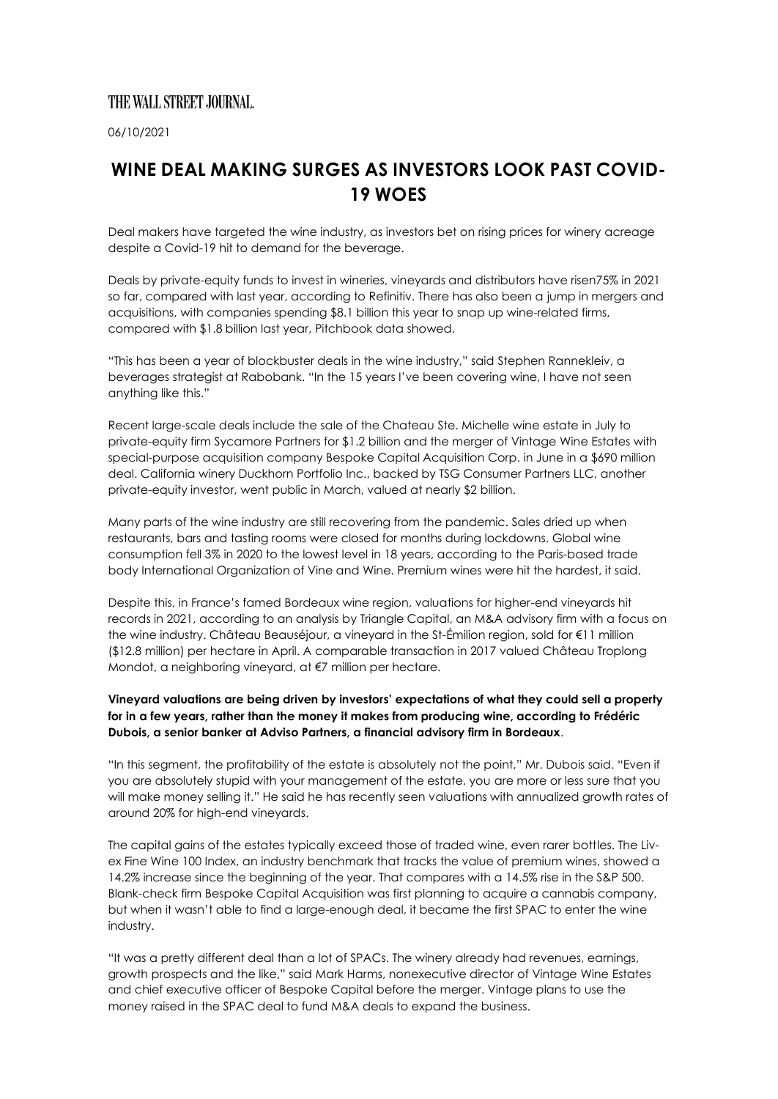## THE WALL STREET JOURNAL

06/10/2021

## **WINE DEAL MAKING SURGES AS INVESTORS LOOK PAST COVID-19 WOES**

Deal makers have targeted the wine industry, as investors bet on rising prices for winery acreage despite a Covid-19 hit to demand for the beverage.

Deals by private-equity funds to invest in wineries, vineyards and distributors have risen75% in 2021 so far, compared with last year, according to Refinitiv. There has also been a jump in mergers and acquisitions, with companies spending \$8.1 billion this year to snap up wine-related firms, compared with \$1.8 billion last year, Pitchbook data showed.

"This has been a year of blockbuster deals in the wine industry," said Stephen Rannekleiv, a beverages strategist at Rabobank. "In the 15 years I've been covering wine, I have not seen anything like this."

Recent large-scale deals include the sale of the Chateau Ste. Michelle wine estate in July to private-equity firm Sycamore Partners for \$1.2 billion and the merger of Vintage Wine Estates with special-purpose acquisition company Bespoke Capital Acquisition Corp. in June in a \$690 million deal. California winery Duckhorn Portfolio Inc., backed by TSG Consumer Partners LLC, another private-equity investor, went public in March, valued at nearly \$2 billion.

Many parts of the wine industry are still recovering from the pandemic. Sales dried up when restaurants, bars and tasting rooms were closed for months during lockdowns. Global wine consumption fell 3% in 2020 to the lowest level in 18 years, according to the Paris-based trade body International Organization of Vine and Wine. Premium wines were hit the hardest, it said.

Despite this, in France's famed Bordeaux wine region, valuations for higher-end vineyards hit records in 2021, according to an analysis by Triangle Capital, an M&A advisory firm with a focus on the wine industry. Château Beauséjour, a vineyard in the St-Émilion region, sold for €11 million (\$12.8 million) per hectare in April. A comparable transaction in 2017 valued Château Troplong Mondot, a neighboring vineyard, at €7 million per hectare.

## **Vineyard valuations are being driven by investors' expectations of what they could sell a property for in a few years, rather than the money it makes from producing wine, according to Frédéric Dubois, a senior banker at Adviso Partners, a financial advisory firm in Bordeaux**.

"In this segment, the profitability of the estate is absolutely not the point," Mr. Dubois said. "Even if you are absolutely stupid with your management of the estate, you are more or less sure that you will make money selling it." He said he has recently seen valuations with annualized growth rates of around 20% for high-end vineyards.

The capital gains of the estates typically exceed those of traded wine, even rarer bottles. The Livex Fine Wine 100 Index, an industry benchmark that tracks the value of premium wines, showed a 14.2% increase since the beginning of the year. That compares with a 14.5% rise in the S&P 500. Blank-check firm Bespoke Capital Acquisition was first planning to acquire a cannabis company, but when it wasn't able to find a large-enough deal, it became the first SPAC to enter the wine industry.

"It was a pretty different deal than a lot of SPACs. The winery already had revenues, earnings, growth prospects and the like," said Mark Harms, nonexecutive director of Vintage Wine Estates and chief executive officer of Bespoke Capital before the merger. Vintage plans to use the money raised in the SPAC deal to fund M&A deals to expand the business.